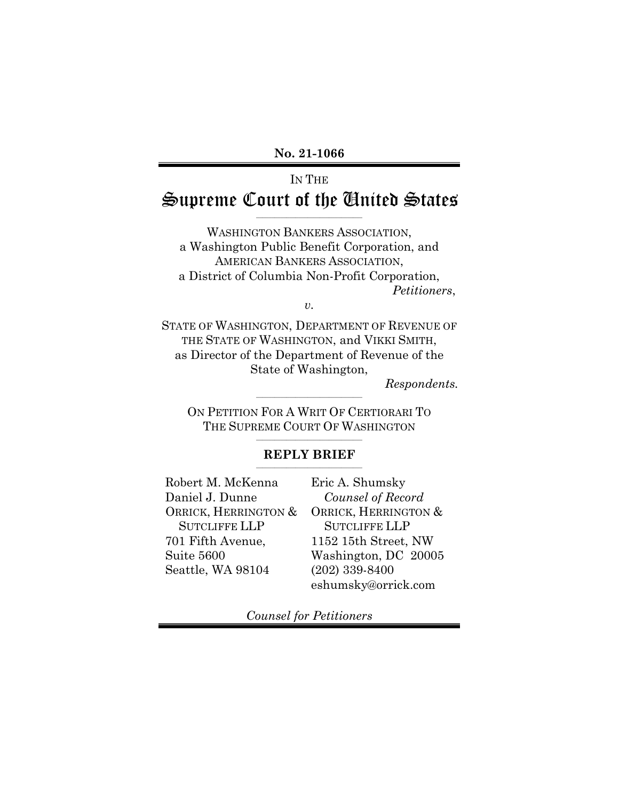**No. 21-1066**

# IN THE Supreme Court of the United States

\_\_\_\_\_\_\_\_\_\_\_\_\_\_\_\_\_\_\_\_\_\_\_\_\_\_\_\_\_\_\_\_\_\_\_

WASHINGTON BANKERS ASSOCIATION, a Washington Public Benefit Corporation, and AMERICAN BANKERS ASSOCIATION, a District of Columbia Non-Profit Corporation, *Petitioners*,

*v.*

STATE OF WASHINGTON, DEPARTMENT OF REVENUE OF THE STATE OF WASHINGTON, and VIKKI SMITH, as Director of the Department of Revenue of the State of Washington,

*Respondents.*

ON PETITION FOR A WRIT OF CERTIORARI TO THE SUPREME COURT OF WASHINGTON \_\_\_\_\_\_\_\_\_\_\_\_\_\_\_\_\_\_\_\_\_\_\_\_\_\_\_\_\_\_\_\_\_\_\_

\_\_\_\_\_\_\_\_\_\_\_\_\_\_\_\_\_\_\_\_\_\_\_\_\_\_\_\_\_\_\_\_\_\_\_

#### **REPLY BRIEF** \_\_\_\_\_\_\_\_\_\_\_\_\_\_\_\_\_\_\_\_\_\_\_\_\_\_\_\_\_\_\_\_\_\_\_

Robert M. McKenna Daniel J. Dunne ORRICK, HERRINGTON & SUTCLIFFE LLP 701 Fifth Avenue, Suite 5600 Seattle, WA 98104

Eric A. Shumsky *Counsel of Record* ORRICK, HERRINGTON & SUTCLIFFE LLP 1152 15th Street, NW Washington, DC 20005 (202) 339-8400 eshumsky@orrick.com

*Counsel for Petitioners*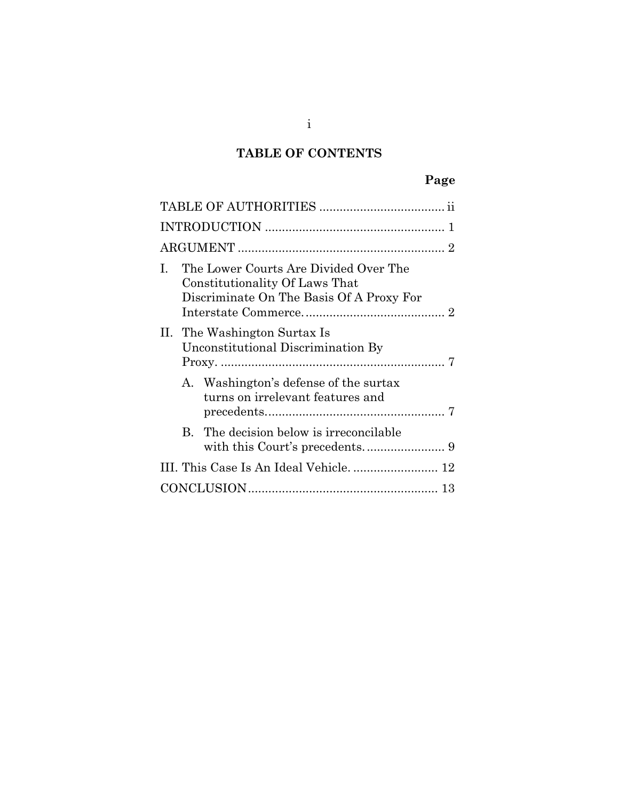# **TABLE OF CONTENTS**

| The Lower Courts Are Divided Over The<br>$\mathbf{L}$<br>Constitutionality Of Laws That<br>Discriminate On The Basis Of A Proxy For |  |  |  |
|-------------------------------------------------------------------------------------------------------------------------------------|--|--|--|
| II. The Washington Surtax Is<br>Unconstitutional Discrimination By                                                                  |  |  |  |
| A. Washington's defense of the surtax<br>turns on irrelevant features and                                                           |  |  |  |
| The decision below is irreconcilable<br>$\mathbf{B}$                                                                                |  |  |  |
|                                                                                                                                     |  |  |  |
|                                                                                                                                     |  |  |  |

i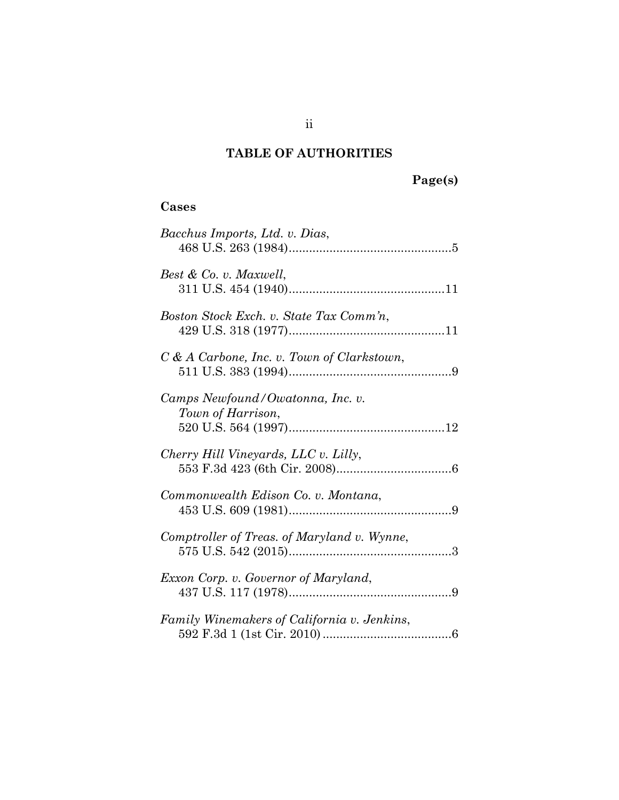# **TABLE OF AUTHORITIES**

# **Page(s)**

## <span id="page-2-0"></span>**Cases**

| Bacchus Imports, Ltd. v. Dias,                        |
|-------------------------------------------------------|
| Best & Co. v. Maxwell,                                |
| Boston Stock Exch. v. State Tax Comm'n,               |
| C & A Carbone, Inc. v. Town of Clarkstown,            |
| Camps Newfound/Owatonna, Inc. v.<br>Town of Harrison, |
| Cherry Hill Vineyards, LLC v. Lilly,                  |
| Commonwealth Edison Co. v. Montana,                   |
| Comptroller of Treas. of Maryland v. Wynne,           |
| Exxon Corp. v. Governor of Maryland,                  |
| Family Winemakers of California v. Jenkins,           |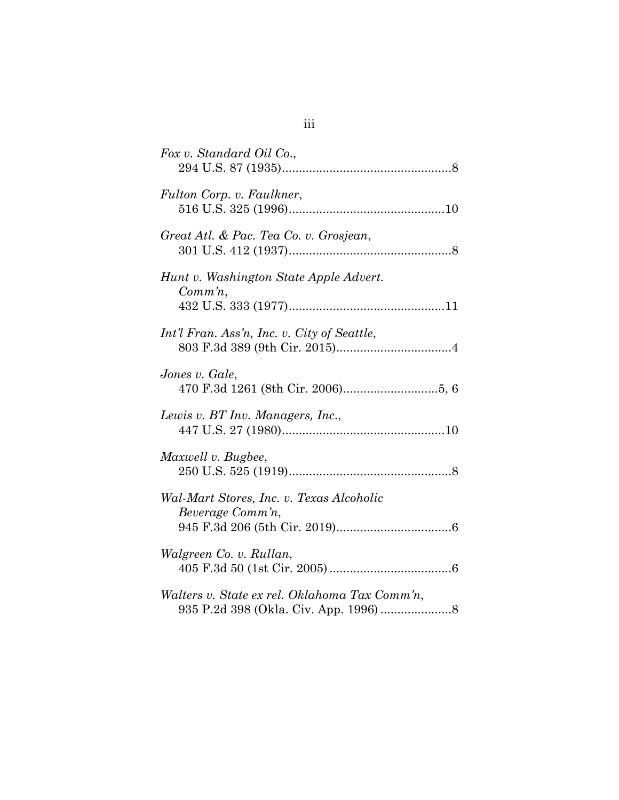| Fox v. Standard Oil Co.,                                     |
|--------------------------------------------------------------|
| Fulton Corp. v. Faulkner,                                    |
| Great Atl. & Pac. Tea Co. v. Grosjean,                       |
| Hunt v. Washington State Apple Advert.<br>$Comm\, n$ ,       |
| Int'l Fran. Ass'n, Inc. v. City of Seattle,                  |
| Jones v. Gale,                                               |
| Lewis v. BT Inv. Managers, Inc.,                             |
| Maxwell v. Bugbee,                                           |
| Wal-Mart Stores, Inc. v. Texas Alcoholic<br>Beverage Comm'n, |
| Walgreen Co. v. Rullan,                                      |
| Walters v. State ex rel. Oklahoma Tax Comm'n,                |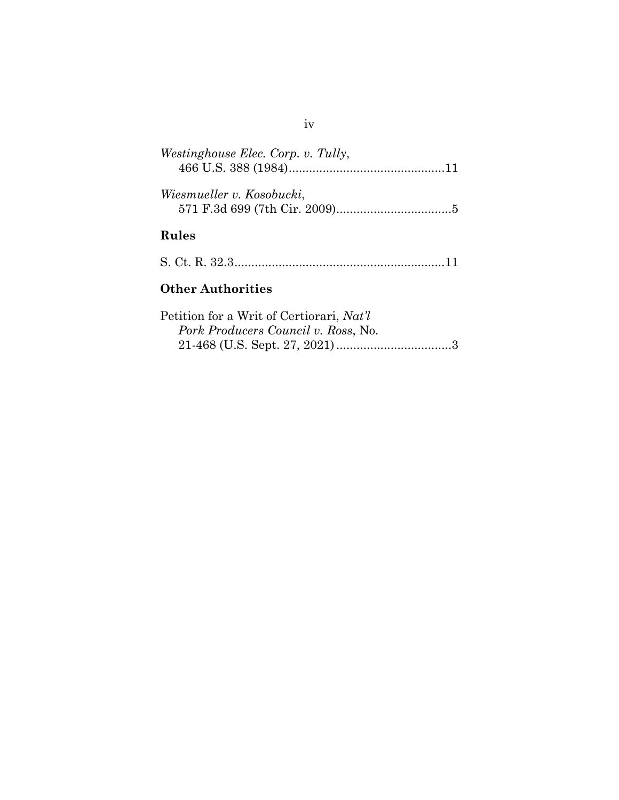| <i>Westinghouse Elec. Corp. v. Tully,</i> |  |
|-------------------------------------------|--|
| Wiesmueller v. Kosobucki,                 |  |
| Rules                                     |  |

|--|--|--|--|--|--|

# **Other Authorities**

| Petition for a Writ of Certiorari, Nat'l   |  |
|--------------------------------------------|--|
| <i>Pork Producers Council v. Ross, No.</i> |  |
|                                            |  |

## iv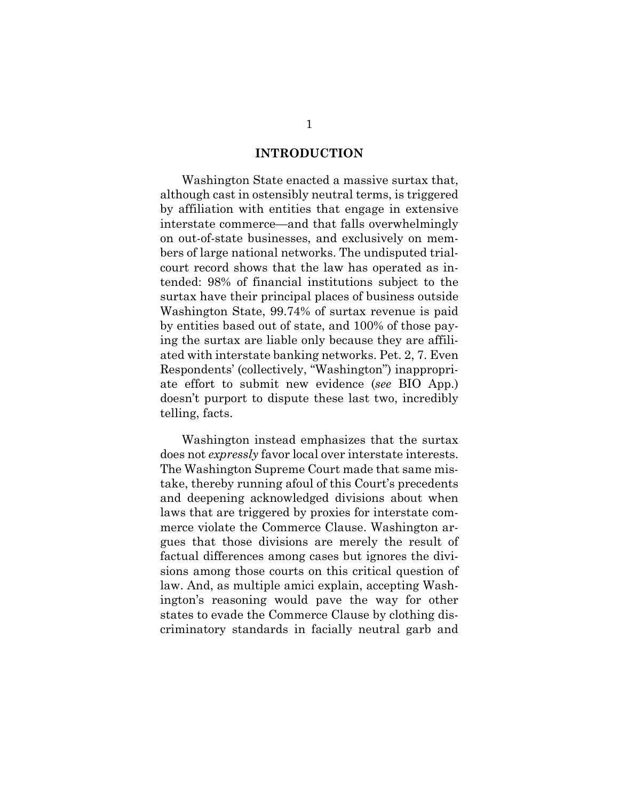#### **INTRODUCTION**

<span id="page-5-0"></span>Washington State enacted a massive surtax that, although cast in ostensibly neutral terms, is triggered by affiliation with entities that engage in extensive interstate commerce—and that falls overwhelmingly on out-of-state businesses, and exclusively on members of large national networks. The undisputed trialcourt record shows that the law has operated as intended: 98% of financial institutions subject to the surtax have their principal places of business outside Washington State, 99.74% of surtax revenue is paid by entities based out of state, and 100% of those paying the surtax are liable only because they are affiliated with interstate banking networks. Pet. 2, 7. Even Respondents' (collectively, "Washington") inappropriate effort to submit new evidence (*see* BIO App.) doesn't purport to dispute these last two, incredibly telling, facts.

Washington instead emphasizes that the surtax does not *expressly* favor local over interstate interests. The Washington Supreme Court made that same mistake, thereby running afoul of this Court's precedents and deepening acknowledged divisions about when laws that are triggered by proxies for interstate commerce violate the Commerce Clause. Washington argues that those divisions are merely the result of factual differences among cases but ignores the divisions among those courts on this critical question of law. And, as multiple amici explain, accepting Washington's reasoning would pave the way for other states to evade the Commerce Clause by clothing discriminatory standards in facially neutral garb and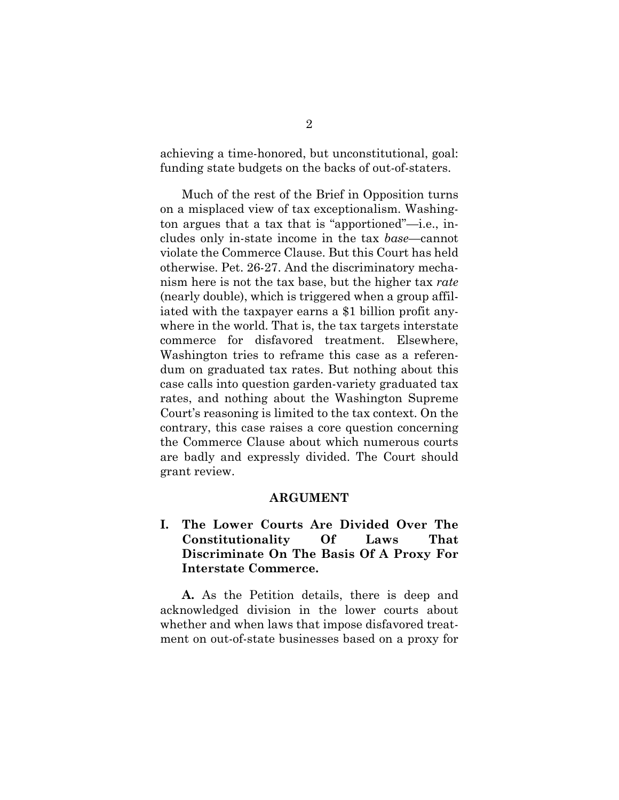achieving a time-honored, but unconstitutional, goal: funding state budgets on the backs of out-of-staters.

Much of the rest of the Brief in Opposition turns on a misplaced view of tax exceptionalism. Washington argues that a tax that is "apportioned"—i.e., includes only in-state income in the tax *base*—cannot violate the Commerce Clause. But this Court has held otherwise. Pet. 26-27. And the discriminatory mechanism here is not the tax base, but the higher tax *rate* (nearly double), which is triggered when a group affiliated with the taxpayer earns a \$1 billion profit anywhere in the world. That is, the tax targets interstate commerce for disfavored treatment. Elsewhere, Washington tries to reframe this case as a referendum on graduated tax rates. But nothing about this case calls into question garden-variety graduated tax rates, and nothing about the Washington Supreme Court's reasoning is limited to the tax context. On the contrary, this case raises a core question concerning the Commerce Clause about which numerous courts are badly and expressly divided. The Court should grant review.

#### **ARGUMENT**

<span id="page-6-1"></span><span id="page-6-0"></span>**I. The Lower Courts Are Divided Over The Constitutionality Of Laws That Discriminate On The Basis Of A Proxy For Interstate Commerce.**

**A.** As the Petition details, there is deep and acknowledged division in the lower courts about whether and when laws that impose disfavored treatment on out-of-state businesses based on a proxy for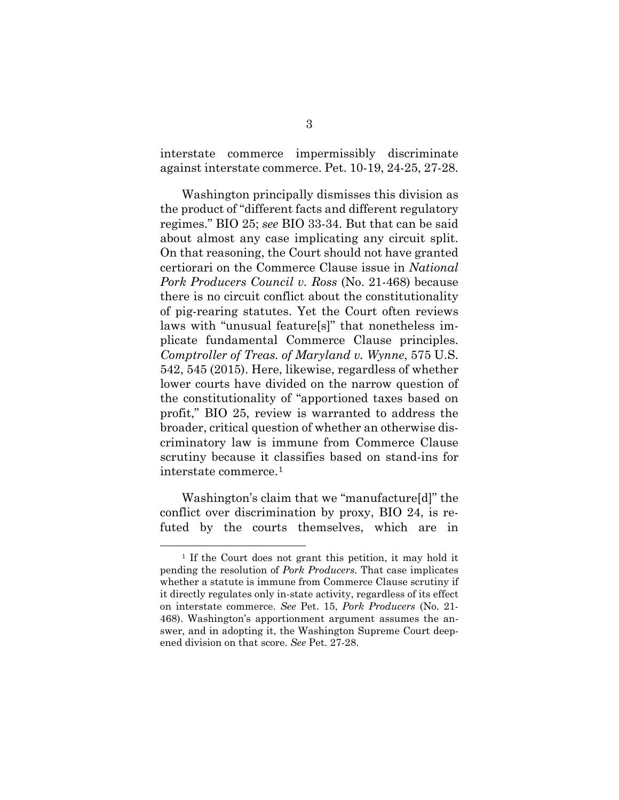interstate commerce impermissibly discriminate against interstate commerce. Pet. 10-19, 24-25, 27-28.

Washington principally dismisses this division as the product of "different facts and different regulatory regimes." BIO 25; *see* BIO 33-34. But that can be said about almost any case implicating any circuit split. On that reasoning, the Court should not have granted certiorari on the Commerce Clause issue in *National Pork Producers Council v. Ross* (No. 21-468) because there is no circuit conflict about the constitutionality of pig-rearing statutes. Yet the Court often reviews laws with "unusual feature[s]" that nonetheless implicate fundamental Commerce Clause principles. *Comptroller of Treas. of Maryland v. Wynne*, 575 U.S. 542, 545 (2015). Here, likewise, regardless of whether lower courts have divided on the narrow question of the constitutionality of "apportioned taxes based on profit," BIO 25, review is warranted to address the broader, critical question of whether an otherwise discriminatory law is immune from Commerce Clause scrutiny because it classifies based on stand-ins for interstate commerce.[1](#page-7-0)

Washington's claim that we "manufacture[d]" the conflict over discrimination by proxy, BIO 24, is refuted by the courts themselves, which are in

<span id="page-7-0"></span><sup>&</sup>lt;sup>1</sup> If the Court does not grant this petition, it may hold it pending the resolution of *Pork Producers*. That case implicates whether a statute is immune from Commerce Clause scrutiny if it directly regulates only in-state activity, regardless of its effect on interstate commerce. *See* Pet. 15, *Pork Producers* (No. 21- 468). Washington's apportionment argument assumes the answer, and in adopting it, the Washington Supreme Court deepened division on that score. *See* Pet. 27-28.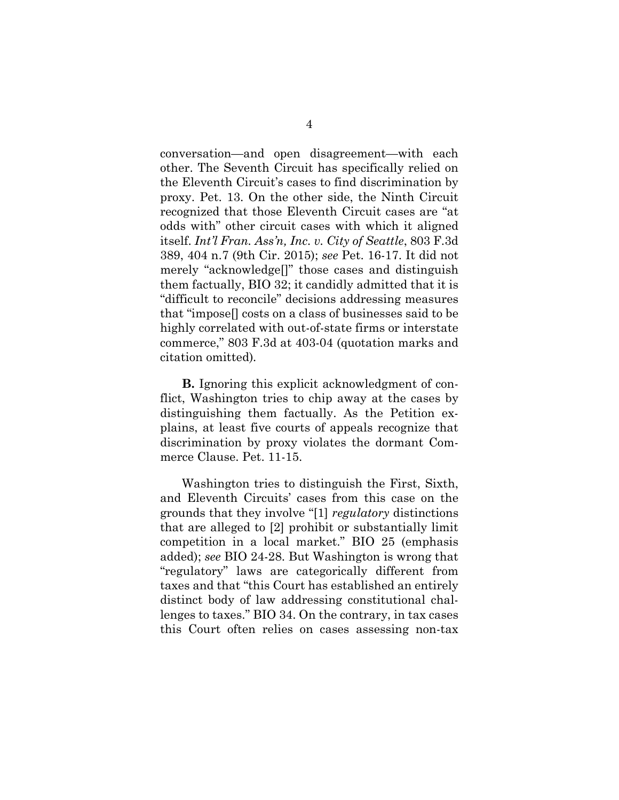conversation—and open disagreement—with each other. The Seventh Circuit has specifically relied on the Eleventh Circuit's cases to find discrimination by proxy. Pet. 13. On the other side, the Ninth Circuit recognized that those Eleventh Circuit cases are "at odds with" other circuit cases with which it aligned itself. *Int'l Fran. Ass'n, Inc. v. City of Seattle*, 803 F.3d 389, 404 n.7 (9th Cir. 2015); *see* Pet. 16-17. It did not merely "acknowledge[]" those cases and distinguish them factually, BIO 32; it candidly admitted that it is "difficult to reconcile" decisions addressing measures that "impose[] costs on a class of businesses said to be highly correlated with out-of-state firms or interstate commerce," 803 F.3d at 403-04 (quotation marks and citation omitted)*.*

**B.** Ignoring this explicit acknowledgment of conflict, Washington tries to chip away at the cases by distinguishing them factually. As the Petition explains, at least five courts of appeals recognize that discrimination by proxy violates the dormant Commerce Clause. Pet. 11-15.

Washington tries to distinguish the First, Sixth, and Eleventh Circuits' cases from this case on the grounds that they involve "[1] *regulatory* distinctions that are alleged to [2] prohibit or substantially limit competition in a local market." BIO 25 (emphasis added); *see* BIO 24-28. But Washington is wrong that "regulatory" laws are categorically different from taxes and that "this Court has established an entirely distinct body of law addressing constitutional challenges to taxes." BIO 34. On the contrary, in tax cases this Court often relies on cases assessing non-tax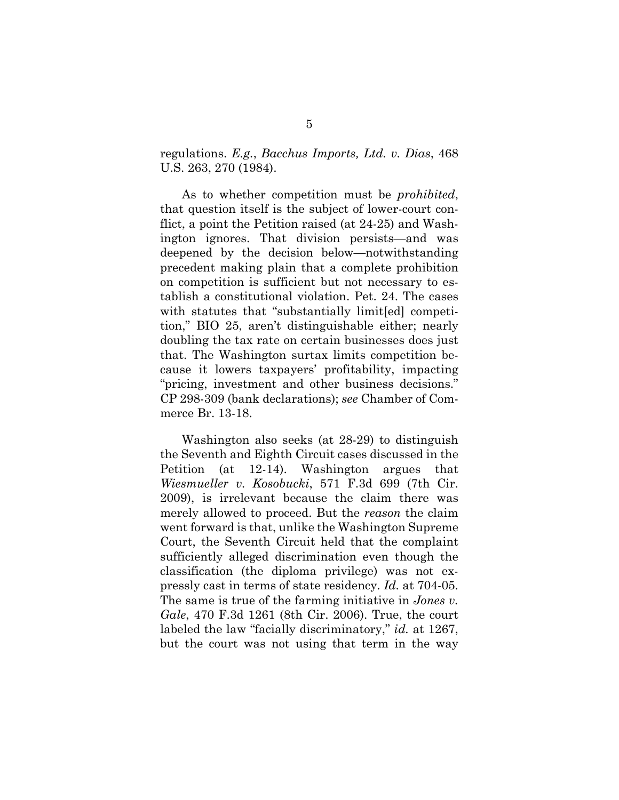regulations. *E.g.*, *Bacchus Imports, Ltd. v. Dias*, 468 U.S. 263, 270 (1984).

As to whether competition must be *prohibited*, that question itself is the subject of lower-court conflict, a point the Petition raised (at 24-25) and Washington ignores. That division persists—and was deepened by the decision below—notwithstanding precedent making plain that a complete prohibition on competition is sufficient but not necessary to establish a constitutional violation. Pet. 24. The cases with statutes that "substantially limit[ed] competition," BIO 25, aren't distinguishable either; nearly doubling the tax rate on certain businesses does just that. The Washington surtax limits competition because it lowers taxpayers' profitability, impacting "pricing, investment and other business decisions." CP 298-309 (bank declarations); *see* Chamber of Commerce Br. 13-18.

Washington also seeks (at 28-29) to distinguish the Seventh and Eighth Circuit cases discussed in the Petition (at 12-14). Washington argues that *Wiesmueller v. Kosobucki*, 571 F.3d 699 (7th Cir. 2009), is irrelevant because the claim there was merely allowed to proceed. But the *reason* the claim went forward is that, unlike the Washington Supreme Court, the Seventh Circuit held that the complaint sufficiently alleged discrimination even though the classification (the diploma privilege) was not expressly cast in terms of state residency. *Id.* at 704-05. The same is true of the farming initiative in *Jones v. Gale*, 470 F.3d 1261 (8th Cir. 2006). True, the court labeled the law "facially discriminatory," *id.* at 1267, but the court was not using that term in the way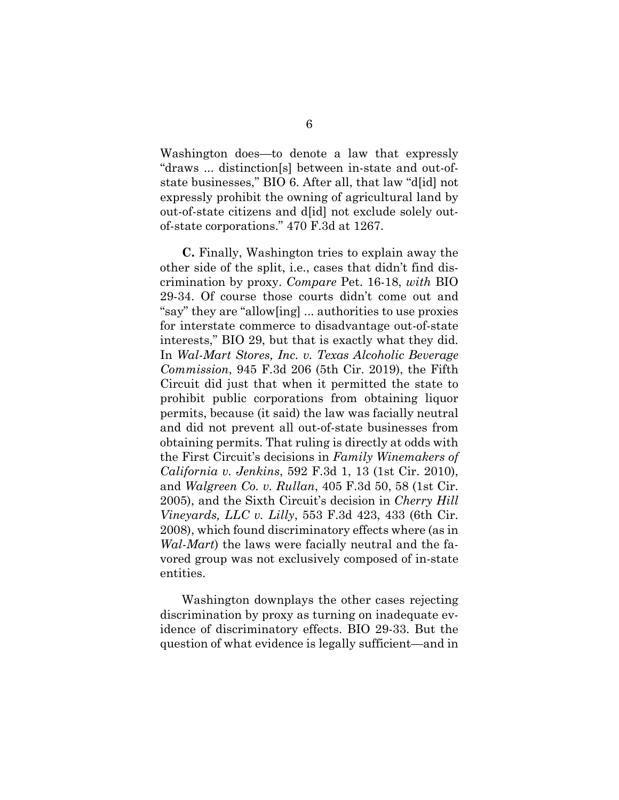Washington does—to denote a law that expressly "draws ... distinction[s] between in-state and out-ofstate businesses," BIO 6. After all, that law "d[id] not expressly prohibit the owning of agricultural land by out-of-state citizens and d[id] not exclude solely outof-state corporations." 470 F.3d at 1267.

**C.** Finally, Washington tries to explain away the other side of the split, i.e., cases that didn't find discrimination by proxy. *Compare* Pet. 16-18, *with* BIO 29-34. Of course those courts didn't come out and "say" they are "allow[ing] ... authorities to use proxies for interstate commerce to disadvantage out-of-state interests," BIO 29, but that is exactly what they did. In *Wal-Mart Stores, Inc. v. Texas Alcoholic Beverage Commission*, 945 F.3d 206 (5th Cir. 2019), the Fifth Circuit did just that when it permitted the state to prohibit public corporations from obtaining liquor permits, because (it said) the law was facially neutral and did not prevent all out-of-state businesses from obtaining permits. That ruling is directly at odds with the First Circuit's decisions in *Family Winemakers of California v. Jenkins*, 592 F.3d 1, 13 (1st Cir. 2010), and *Walgreen Co. v. Rullan*, 405 F.3d 50, 58 (1st Cir. 2005), and the Sixth Circuit's decision in *Cherry Hill Vineyards, LLC v. Lilly*, 553 F.3d 423, 433 (6th Cir. 2008), which found discriminatory effects where (as in *Wal-Mart*) the laws were facially neutral and the favored group was not exclusively composed of in-state entities.

Washington downplays the other cases rejecting discrimination by proxy as turning on inadequate evidence of discriminatory effects. BIO 29-33. But the question of what evidence is legally sufficient—and in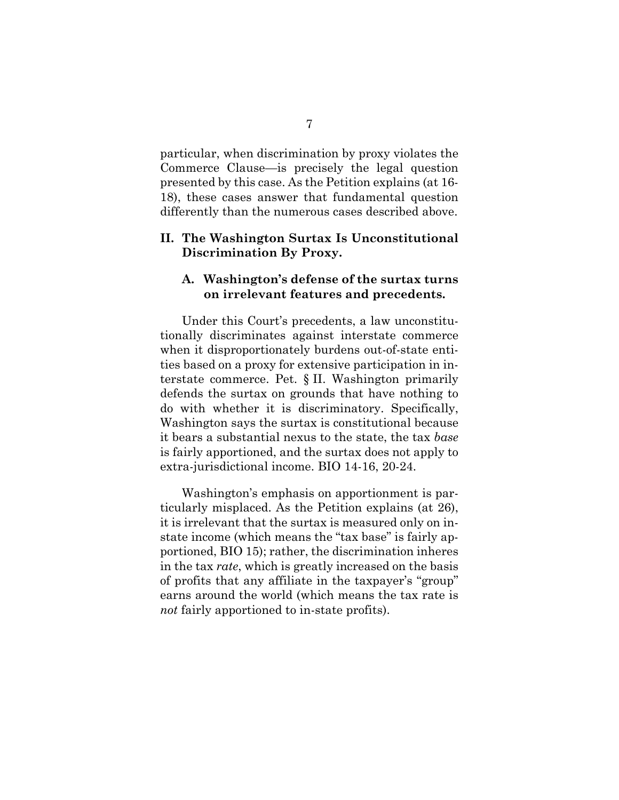particular, when discrimination by proxy violates the Commerce Clause—is precisely the legal question presented by this case. As the Petition explains (at 16- 18), these cases answer that fundamental question differently than the numerous cases described above.

## <span id="page-11-0"></span>**II. The Washington Surtax Is Unconstitutional Discrimination By Proxy.**

## <span id="page-11-1"></span>**A. Washington's defense of the surtax turns on irrelevant features and precedents.**

Under this Court's precedents, a law unconstitutionally discriminates against interstate commerce when it disproportionately burdens out-of-state entities based on a proxy for extensive participation in interstate commerce. Pet. § II. Washington primarily defends the surtax on grounds that have nothing to do with whether it is discriminatory. Specifically, Washington says the surtax is constitutional because it bears a substantial nexus to the state, the tax *base* is fairly apportioned, and the surtax does not apply to extra-jurisdictional income. BIO 14-16, 20-24.

Washington's emphasis on apportionment is particularly misplaced. As the Petition explains (at 26), it is irrelevant that the surtax is measured only on instate income (which means the "tax base" is fairly apportioned, BIO 15); rather, the discrimination inheres in the tax *rate*, which is greatly increased on the basis of profits that any affiliate in the taxpayer's "group" earns around the world (which means the tax rate is *not* fairly apportioned to in-state profits).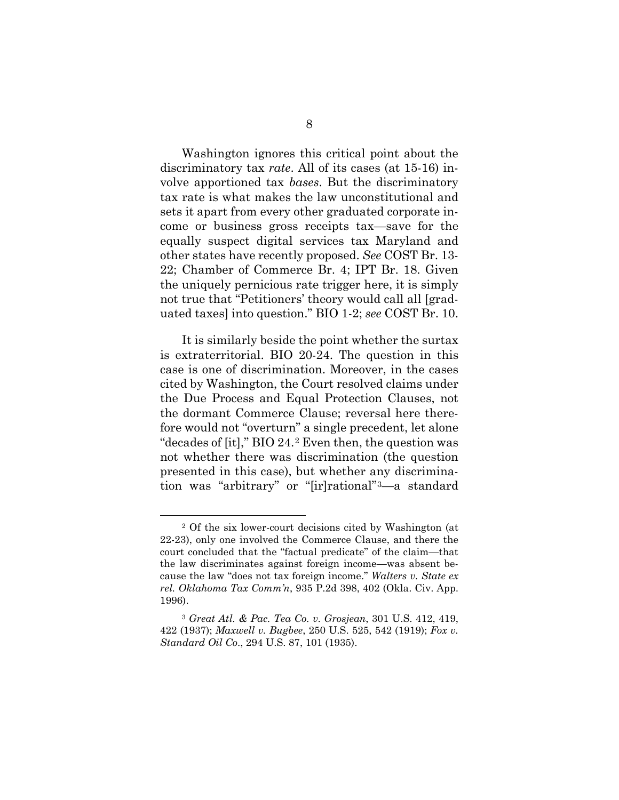Washington ignores this critical point about the discriminatory tax *rate*. All of its cases (at 15-16) involve apportioned tax *bases*. But the discriminatory tax rate is what makes the law unconstitutional and sets it apart from every other graduated corporate income or business gross receipts tax—save for the equally suspect digital services tax Maryland and other states have recently proposed. *See* COST Br. 13- 22; Chamber of Commerce Br. 4; IPT Br. 18. Given the uniquely pernicious rate trigger here, it is simply not true that "Petitioners' theory would call all [graduated taxes] into question." BIO 1-2; *see* COST Br. 10.

It is similarly beside the point whether the surtax is extraterritorial. BIO 20-24. The question in this case is one of discrimination. Moreover, in the cases cited by Washington, the Court resolved claims under the Due Process and Equal Protection Clauses, not the dormant Commerce Clause; reversal here therefore would not "overturn" a single precedent, let alone "decades of [it]," BIO 24.[2](#page-12-0) Even then, the question was not whether there was discrimination (the question presented in this case), but whether any discrimination was "arbitrary" or "[ir]rational"[3—](#page-13-1)a standard

<span id="page-12-0"></span><sup>2</sup> Of the six lower-court decisions cited by Washington (at 22-23), only one involved the Commerce Clause, and there the court concluded that the "factual predicate" of the claim—that the law discriminates against foreign income—was absent because the law "does not tax foreign income." *Walters v. State ex rel. Oklahoma Tax Comm'n*, 935 P.2d 398, 402 (Okla. Civ. App. 1996).

<sup>3</sup> *Great Atl. & Pac. Tea Co. v. Grosjean*, 301 U.S. 412, 419, 422 (1937); *Maxwell v. Bugbee*, 250 U.S. 525, 542 (1919); *Fox v. Standard Oil Co*., 294 U.S. 87, 101 (1935).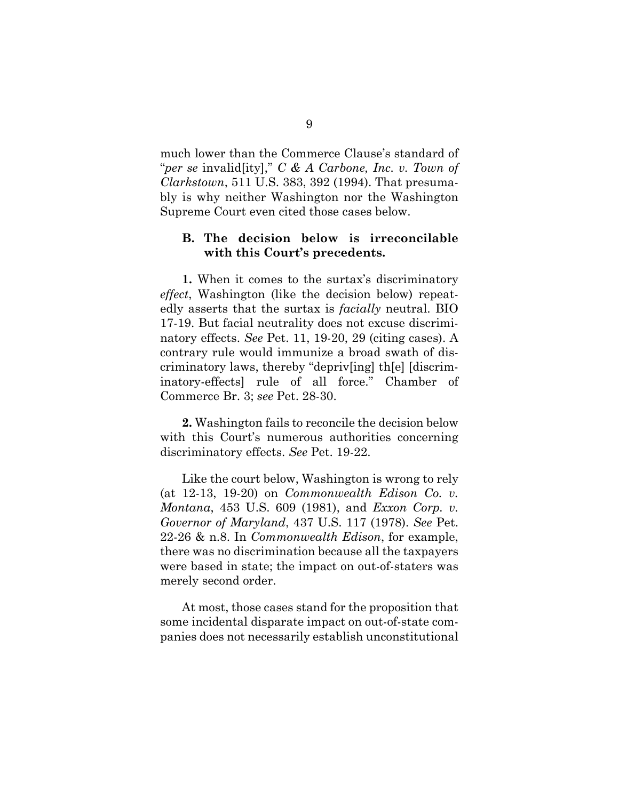much lower than the Commerce Clause's standard of "*per se* invalid[ity]," *C & A Carbone, Inc. v. Town of Clarkstown*, 511 U.S. 383, 392 (1994). That presumably is why neither Washington nor the Washington Supreme Court even cited those cases below.

### <span id="page-13-0"></span>**B. The decision below is irreconcilable with this Court's precedents.**

**1.** When it comes to the surtax's discriminatory *effect*, Washington (like the decision below) repeatedly asserts that the surtax is *facially* neutral. BIO 17-19. But facial neutrality does not excuse discriminatory effects. *See* Pet. 11, 19-20, 29 (citing cases). A contrary rule would immunize a broad swath of discriminatory laws, thereby "depriv[ing] th[e] [discriminatory-effects] rule of all force." Chamber of Commerce Br. 3; *see* Pet. 28-30.

**2.** Washington fails to reconcile the decision below with this Court's numerous authorities concerning discriminatory effects. *See* Pet. 19-22.

Like the court below, Washington is wrong to rely (at 12-13, 19-20) on *Commonwealth Edison Co. v. Montana*, 453 U.S. 609 (1981), and *Exxon Corp. v. Governor of Maryland*, 437 U.S. 117 (1978). *See* Pet. 22-26 & n.8. In *Commonwealth Edison*, for example, there was no discrimination because all the taxpayers were based in state; the impact on out-of-staters was merely second order.

<span id="page-13-1"></span>At most, those cases stand for the proposition that some incidental disparate impact on out-of-state companies does not necessarily establish unconstitutional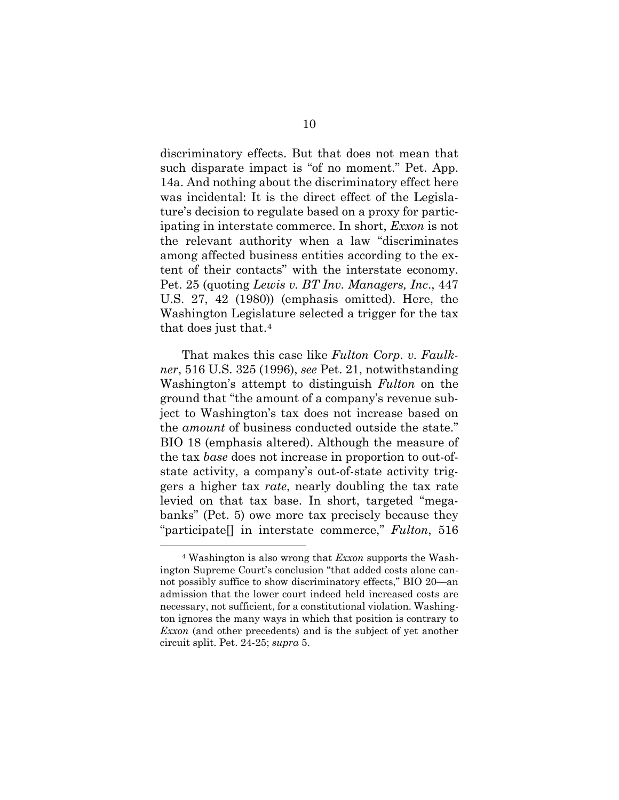discriminatory effects. But that does not mean that such disparate impact is "of no moment." Pet. App. 14a. And nothing about the discriminatory effect here was incidental: It is the direct effect of the Legislature's decision to regulate based on a proxy for participating in interstate commerce. In short, *Exxon* is not the relevant authority when a law "discriminates among affected business entities according to the extent of their contacts" with the interstate economy. Pet. 25 (quoting *Lewis v. BT Inv. Managers, Inc*., 447 U.S. 27, 42 (1980)) (emphasis omitted). Here, the Washington Legislature selected a trigger for the tax that does just that[.4](#page-14-0)

That makes this case like *Fulton Corp. v. Faulkner*, 516 U.S. 325 (1996), *see* Pet. 21, notwithstanding Washington's attempt to distinguish *Fulton* on the ground that "the amount of a company's revenue subject to Washington's tax does not increase based on the *amount* of business conducted outside the state." BIO 18 (emphasis altered). Although the measure of the tax *base* does not increase in proportion to out-ofstate activity, a company's out-of-state activity triggers a higher tax *rate*, nearly doubling the tax rate levied on that tax base. In short, targeted "megabanks" (Pet. 5) owe more tax precisely because they "participate[] in interstate commerce," *Fulton*, 516

<span id="page-14-0"></span><sup>4</sup> Washington is also wrong that *Exxon* supports the Washington Supreme Court's conclusion "that added costs alone cannot possibly suffice to show discriminatory effects," BIO 20—an admission that the lower court indeed held increased costs are necessary, not sufficient, for a constitutional violation. Washington ignores the many ways in which that position is contrary to *Exxon* (and other precedents) and is the subject of yet another circuit split. Pet. 24-25; *supra* 5.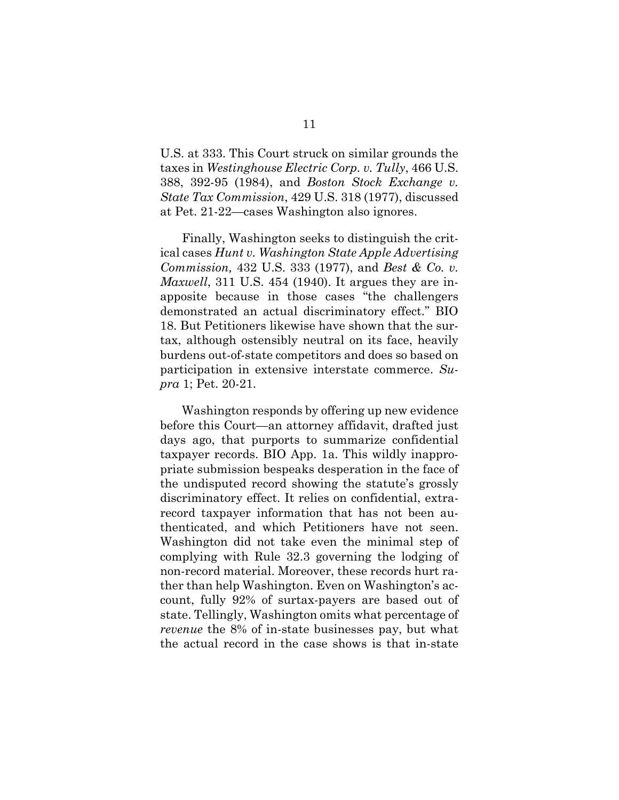U.S. at 333. This Court struck on similar grounds the taxes in *Westinghouse Electric Corp. v. Tully*, 466 U.S. 388, 392-95 (1984), and *Boston Stock Exchange v. State Tax Commission*, 429 U.S. 318 (1977), discussed at Pet. 21-22—cases Washington also ignores.

Finally, Washington seeks to distinguish the critical cases *Hunt v. Washington State Apple Advertising Commission,* 432 U.S. 333 (1977), and *Best & Co. v. Maxwell*, 311 U.S. 454 (1940). It argues they are inapposite because in those cases "the challengers demonstrated an actual discriminatory effect." BIO 18. But Petitioners likewise have shown that the surtax, although ostensibly neutral on its face, heavily burdens out-of-state competitors and does so based on participation in extensive interstate commerce. *Supra* 1; Pet. 20-21.

Washington responds by offering up new evidence before this Court—an attorney affidavit, drafted just days ago, that purports to summarize confidential taxpayer records. BIO App. 1a. This wildly inappropriate submission bespeaks desperation in the face of the undisputed record showing the statute's grossly discriminatory effect. It relies on confidential, extrarecord taxpayer information that has not been authenticated, and which Petitioners have not seen. Washington did not take even the minimal step of complying with Rule 32.3 governing the lodging of non-record material. Moreover, these records hurt rather than help Washington. Even on Washington's account, fully 92% of surtax-payers are based out of state. Tellingly, Washington omits what percentage of *revenue* the 8% of in-state businesses pay, but what the actual record in the case shows is that in-state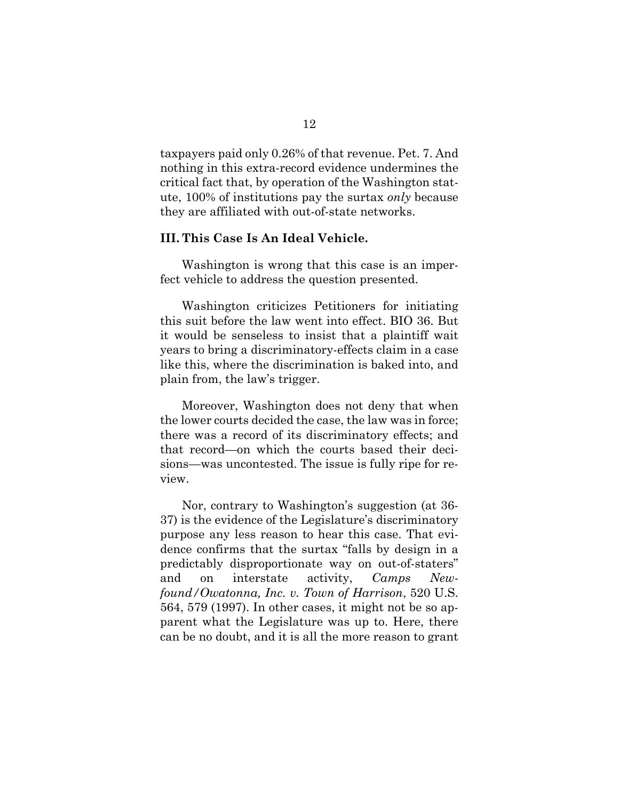taxpayers paid only 0.26% of that revenue. Pet. 7. And nothing in this extra-record evidence undermines the critical fact that, by operation of the Washington statute, 100% of institutions pay the surtax *only* because they are affiliated with out-of-state networks.

### <span id="page-16-0"></span>**III. This Case Is An Ideal Vehicle.**

Washington is wrong that this case is an imperfect vehicle to address the question presented.

Washington criticizes Petitioners for initiating this suit before the law went into effect. BIO 36. But it would be senseless to insist that a plaintiff wait years to bring a discriminatory-effects claim in a case like this, where the discrimination is baked into, and plain from, the law's trigger.

Moreover, Washington does not deny that when the lower courts decided the case, the law was in force; there was a record of its discriminatory effects; and that record—on which the courts based their decisions—was uncontested. The issue is fully ripe for review.

Nor, contrary to Washington's suggestion (at 36- 37) is the evidence of the Legislature's discriminatory purpose any less reason to hear this case. That evidence confirms that the surtax "falls by design in a predictably disproportionate way on out-of-staters" and on interstate activity, *Camps Newfound/Owatonna, Inc. v. Town of Harrison*, 520 U.S. 564, 579 (1997). In other cases, it might not be so apparent what the Legislature was up to. Here, there can be no doubt, and it is all the more reason to grant